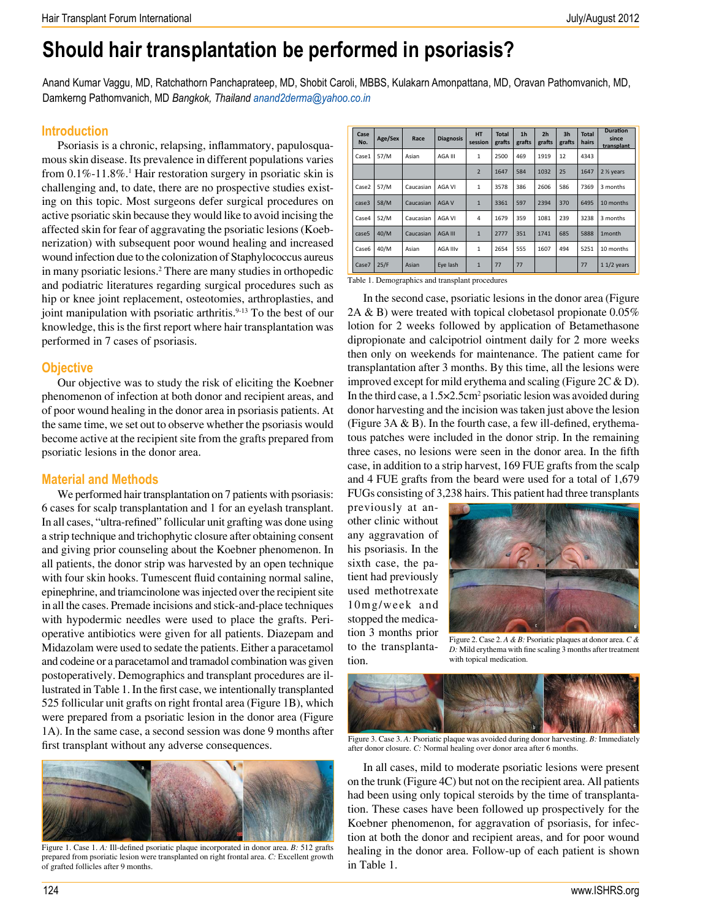# **Should hair transplantation be performed in psoriasis?**

Anand Kumar Vaggu, MD, Ratchathorn Panchaprateep, MD, Shobit Caroli, MBBS, Kulakarn Amonpattana, MD, Oravan Pathomvanich, MD, Damkerng Pathomvanich, MD *Bangkok, Thailand anand2derma@yahoo.co.in*

## **Introduction**

Psoriasis is a chronic, relapsing, inflammatory, papulosquamous skin disease. Its prevalence in different populations varies from 0.1%-11.8%.<sup>1</sup> Hair restoration surgery in psoriatic skin is challenging and, to date, there are no prospective studies existing on this topic. Most surgeons defer surgical procedures on active psoriatic skin because they would like to avoid incising the affected skin for fear of aggravating the psoriatic lesions (Koebnerization) with subsequent poor wound healing and increased wound infection due to the colonization of Staphylococcus aureus in many psoriatic lesions.2 There are many studies in orthopedic and podiatric literatures regarding surgical procedures such as hip or knee joint replacement, osteotomies, arthroplasties, and joint manipulation with psoriatic arthritis.<sup>9-13</sup> To the best of our knowledge, this is the first report where hair transplantation was performed in 7 cases of psoriasis.

# **Objective**

Our objective was to study the risk of eliciting the Koebner phenomenon of infection at both donor and recipient areas, and of poor wound healing in the donor area in psoriasis patients. At the same time, we set out to observe whether the psoriasis would become active at the recipient site from the grafts prepared from psoriatic lesions in the donor area.

# **Material and Methods**

We performed hair transplantation on 7 patients with psoriasis: 6 cases for scalp transplantation and 1 for an eyelash transplant. In all cases, "ultra-refined" follicular unit grafting was done using a strip technique and trichophytic closure after obtaining consent and giving prior counseling about the Koebner phenomenon. In all patients, the donor strip was harvested by an open technique with four skin hooks. Tumescent fluid containing normal saline, epinephrine, and triamcinolone was injected over the recipient site in all the cases. Premade incisions and stick-and-place techniques with hypodermic needles were used to place the grafts. Perioperative antibiotics were given for all patients. Diazepam and Midazolam were used to sedate the patients. Either a paracetamol and codeine or a paracetamol and tramadol combination was given postoperatively. Demographics and transplant procedures are illustrated in Table 1. In the first case, we intentionally transplanted 525 follicular unit grafts on right frontal area (Figure 1B), which were prepared from a psoriatic lesion in the donor area (Figure 1A). In the same case, a second session was done 9 months after first transplant without any adverse consequences.



Figure 1. Case 1. *A:* Ill-defined psoriatic plaque incorporated in donor area. *B:* 512 grafts prepared from psoriatic lesion were transplanted on right frontal area. *C:* Excellent growth of grafted follicles after 9 months.

| Case<br>No. | Age/Sex | Race      | <b>Diagnosis</b> | <b>HT</b><br>session | <b>Total</b><br>grafts | 1 <sub>h</sub><br>grafts | 2 <sub>h</sub><br>grafts | 3 <sub>h</sub><br>grafts | <b>Total</b><br>hairs | <b>Duration</b><br>since<br>transplant |
|-------------|---------|-----------|------------------|----------------------|------------------------|--------------------------|--------------------------|--------------------------|-----------------------|----------------------------------------|
| Case1       | 57/M    | Asian     | AGA III          | $\mathbf{1}$         | 2500                   | 469                      | 1919                     | 12                       | 4343                  |                                        |
|             |         |           |                  | $\overline{2}$       | 1647                   | 584                      | 1032                     | 25                       | 1647                  | 2 1/ <sub>2</sub> years                |
| Case2       | 57/M    | Caucasian | AGA VI           | $\mathbf{1}$         | 3578                   | 386                      | 2606                     | 586                      | 7369                  | 3 months                               |
| case3       | 58/M    | Caucasian | <b>AGAV</b>      | $\mathbf{1}$         | 3361                   | 597                      | 2394                     | 370                      | 6495                  | 10 months                              |
| Case4       | 52/M    | Caucasian | AGA VI           | 4                    | 1679                   | 359                      | 1081                     | 239                      | 3238                  | 3 months                               |
| case5       | 40/M    | Caucasian | <b>AGA III</b>   | $\mathbf{1}$         | 2777                   | 351                      | 1741                     | 685                      | 5888                  | 1month                                 |
| Case6       | 40/M    | Asian     | <b>AGA IIIv</b>  | $\mathbf{1}$         | 2654                   | 555                      | 1607                     | 494                      | 5251                  | 10 months                              |
| Case7       | 25/F    | Asian     | Eye lash         | $\mathbf{1}$         | 77                     | 77                       |                          |                          | 77                    | $11/2$ years                           |
|             |         |           |                  |                      |                        |                          |                          |                          |                       |                                        |

Table 1. Demographics and transplant procedures

In the second case, psoriatic lesions in the donor area (Figure 2A & B) were treated with topical clobetasol propionate  $0.05\%$ lotion for 2 weeks followed by application of Betamethasone dipropionate and calcipotriol ointment daily for 2 more weeks then only on weekends for maintenance. The patient came for transplantation after 3 months. By this time, all the lesions were improved except for mild erythema and scaling (Figure  $2C \& D$ ). In the third case, a  $1.5 \times 2.5 \text{cm}^2$  psoriatic lesion was avoided during donor harvesting and the incision was taken just above the lesion (Figure 3A & B). In the fourth case, a few ill-defined, erythematous patches were included in the donor strip. In the remaining three cases, no lesions were seen in the donor area. In the fifth case, in addition to a strip harvest, 169 FUE grafts from the scalp and 4 FUE grafts from the beard were used for a total of 1,679 FUGs consisting of 3,238 hairs. This patient had three transplants

previously at another clinic without any aggravation of his psoriasis. In the sixth case, the patient had previously used methotrexate 10mg/week and stopped the medication 3 months prior to the transplantation.



Figure 2. Case 2. *A & B:* Psoriatic plaques at donor area. *C & D:* Mild erythema with fine scaling 3 months after treatment with topical medication.



Figure 3. Case 3. *A:* Psoriatic plaque was avoided during donor harvesting. *B:* Immediately after donor closure. *C:* Normal healing over donor area after 6 months.

In all cases, mild to moderate psoriatic lesions were present on the trunk (Figure 4C) but not on the recipient area. All patients had been using only topical steroids by the time of transplantation. These cases have been followed up prospectively for the Koebner phenomenon, for aggravation of psoriasis, for infection at both the donor and recipient areas, and for poor wound healing in the donor area. Follow-up of each patient is shown in Table 1.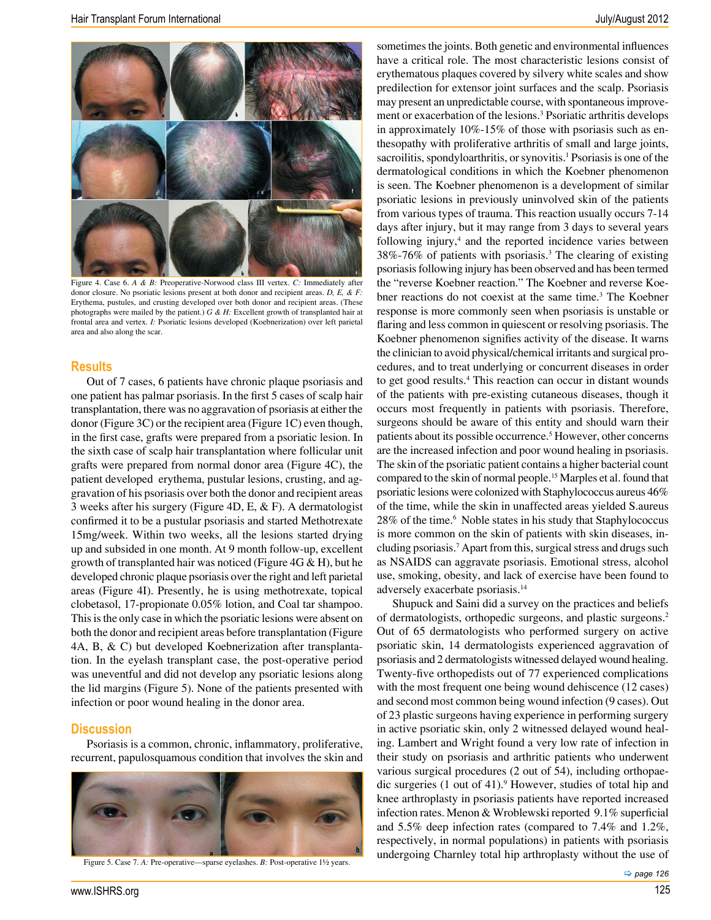

Figure 4. Case 6. *A & B:* Preoperative-Norwood class III vertex. *C:* Immediately after donor closure. No psoriatic lesions present at both donor and recipient areas. *D, E, & F:* Erythema, pustules, and crusting developed over both donor and recipient areas. (These photographs were mailed by the patient.) *G & H:* Excellent growth of transplanted hair at frontal area and vertex. *I:* Psoriatic lesions developed (Koebnerization) over left parietal area and also along the scar.

#### **Results**

Out of 7 cases, 6 patients have chronic plaque psoriasis and one patient has palmar psoriasis. In the first 5 cases of scalp hair transplantation, there was no aggravation of psoriasis at either the donor (Figure 3C) or the recipient area (Figure 1C) even though, in the first case, grafts were prepared from a psoriatic lesion. In the sixth case of scalp hair transplantation where follicular unit grafts were prepared from normal donor area (Figure 4C), the patient developed erythema, pustular lesions, crusting, and aggravation of his psoriasis over both the donor and recipient areas 3 weeks after his surgery (Figure 4D, E, & F). A dermatologist confirmed it to be a pustular psoriasis and started Methotrexate 15mg/week. Within two weeks, all the lesions started drying up and subsided in one month. At 9 month follow-up, excellent growth of transplanted hair was noticed (Figure  $4G & H$ ), but he developed chronic plaque psoriasis over the right and left parietal areas (Figure 4I). Presently, he is using methotrexate, topical clobetasol, 17-propionate 0.05% lotion, and Coal tar shampoo. This is the only case in which the psoriatic lesions were absent on both the donor and recipient areas before transplantation (Figure 4A, B, & C) but developed Koebnerization after transplantation. In the eyelash transplant case, the post-operative period was uneventful and did not develop any psoriatic lesions along the lid margins (Figure 5). None of the patients presented with infection or poor wound healing in the donor area.

#### **Discussion**

Psoriasis is a common, chronic, inflammatory, proliferative, recurrent, papulosquamous condition that involves the skin and



Figure 5. Case 7. *A:* Pre-operative—sparse eyelashes. *B:* Post-operative 1½ years.

www.ISHRS.org 125

sometimes the joints. Both genetic and environmental influences have a critical role. The most characteristic lesions consist of erythematous plaques covered by silvery white scales and show predilection for extensor joint surfaces and the scalp. Psoriasis may present an unpredictable course, with spontaneous improvement or exacerbation of the lesions.<sup>3</sup> Psoriatic arthritis develops in approximately 10%-15% of those with psoriasis such as enthesopathy with proliferative arthritis of small and large joints, sacroilitis, spondyloarthritis, or synovitis.<sup>1</sup> Psoriasis is one of the dermatological conditions in which the Koebner phenomenon is seen. The Koebner phenomenon is a development of similar psoriatic lesions in previously uninvolved skin of the patients from various types of trauma. This reaction usually occurs 7-14 days after injury, but it may range from 3 days to several years following injury,<sup>4</sup> and the reported incidence varies between 38%-76% of patients with psoriasis.3 The clearing of existing psoriasis following injury has been observed and has been termed the "reverse Koebner reaction." The Koebner and reverse Koebner reactions do not coexist at the same time.3 The Koebner response is more commonly seen when psoriasis is unstable or flaring and less common in quiescent or resolving psoriasis. The Koebner phenomenon signifies activity of the disease. It warns the clinician to avoid physical/chemical irritants and surgical procedures, and to treat underlying or concurrent diseases in order to get good results.4 This reaction can occur in distant wounds of the patients with pre-existing cutaneous diseases, though it occurs most frequently in patients with psoriasis. Therefore, surgeons should be aware of this entity and should warn their patients about its possible occurrence.5 However, other concerns are the increased infection and poor wound healing in psoriasis. The skin of the psoriatic patient contains a higher bacterial count compared to the skin of normal people.15 Marples et al. found that psoriatic lesions were colonized with Staphylococcus aureus 46% of the time, while the skin in unaffected areas yielded S.aureus 28% of the time.6 Noble states in his study that Staphylococcus is more common on the skin of patients with skin diseases, including psoriasis.7 Apart from this, surgical stress and drugs such as NSAIDS can aggravate psoriasis. Emotional stress, alcohol use, smoking, obesity, and lack of exercise have been found to adversely exacerbate psoriasis.14

Shupuck and Saini did a survey on the practices and beliefs of dermatologists, orthopedic surgeons, and plastic surgeons.2 Out of 65 dermatologists who performed surgery on active psoriatic skin, 14 dermatologists experienced aggravation of psoriasis and 2 dermatologists witnessed delayed wound healing. Twenty-five orthopedists out of 77 experienced complications with the most frequent one being wound dehiscence (12 cases) and second most common being wound infection (9 cases). Out of 23 plastic surgeons having experience in performing surgery in active psoriatic skin, only 2 witnessed delayed wound healing. Lambert and Wright found a very low rate of infection in their study on psoriasis and arthritic patients who underwent various surgical procedures (2 out of 54), including orthopaedic surgeries (1 out of 41).9 However, studies of total hip and knee arthroplasty in psoriasis patients have reported increased infection rates. Menon & Wroblewski reported 9.1% superficial and 5.5% deep infection rates (compared to 7.4% and 1.2%, respectively, in normal populations) in patients with psoriasis undergoing Charnley total hip arthroplasty without the use of